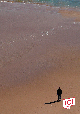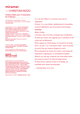# **miramar**  — CHRISTIAN RIZZO

# **Création 2022, pour 11 interprètes** *for 11 dancers*

Chorégraphie, scénographie, costumes *Choreography, stage design, costume design*  **Christian Rizzo**

Interprétation | *Dance* : **Youness Aboulakoul, Nefeli Asteriou, Lauren Bolze, Lee Davern, Fanny Didelot, Nathan Freyermuth, Pep Guarrigues, Harris Gkekas, Raoul Riva, Vania Vaneau, Anna Vanneau Création lumière** | *Light design* **: Caty Olive Création sonore** | *Original music* **: Gérome Nox Assistante artistique** | *Artistic assistant* **: Sophie Laly Direction technique** | *Technical direction* **: Thierry Cabrera**

Production **ICI — centre chorégraphique national Montpellier - Occitanie / Direction Christian Rizzo**

Avec le soutien de | *With the support of*  **Dance Reflections by Van Cleef & Arpels**



Coproduction (en cours) | *(pending)* : **Bonlieu Scène nationale Annecy, Opéra de Lille, CENTQUATRE-PARIS, Théâtre de Nîmes, Teatro Municipal do Porto / Festival DDD – Dias da Dança (Portugal), La Place de la Danse - CDCN Toulouse/Occitanie, Le Parvis, scène nationale Tarbes Pyrénées / GIE FONDOC, Charleroi danse centre chorégraphique Wallonie Bruxelles, Le Bateau Feu Scène Nationale Dunkerque** 

Remerciements | *Thanks* : **Ménagerie de Verre – Paris**

Il y a la mer. Mais il y a surtout ceux qui la regardent.

Et puis, il y a ces hôtels, résidences et immeubles, souvent défraîchis, qui annoncent la promesse. *miramar*.

Baies vitrées.

L'horizon, fixe, et le flux incessant qui cohabitent, et dans leur écart, les regards qui s'y perdent et les corps qui se dénouent.

Êtres vagues ou historiques, en souvenirs erronés. Dire « au loin » ou « de l'autre côté », avec le poids du point fixe qui mesure l'espace à venir.

Être à plusieurs le corps d'un autre, une tresse de fragments organiques, un ectoplasme spatial. Revenir sur ses pas, arpenter les intervalles entre les corps et nourrir le vide de fulgurances. Et faire forme, danser le lien à l'invisible, en *saudade* sans cesse recomposée.

 **— Christian Rizzo**, février 2020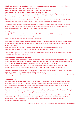# **Horizon, perspectives et flux : un appel en mouvement, un mouvement par l'appel**

Au départ, il y a comme un appel à quelque chose, au loin.

J'aime cette idée de « là-bas », de « l'autre côté » ; un manque indéfinissable.

Peut-être de la pure projection ? Peut-être est-ce soi-même, ou un autre ?

Il y a comme un arrachement, une trouée, un manque, qui induisent une nécessité d'appeler par le mouvement. Entre le corps qui lance l'appel et le point de perspective de celui-ci, il y a un flux. À partir de ces trois éléments, je commence à construire une esquisse compositionnelle.

L'horizon, son point d'observation et le flux : comment se trame alors le passage constant de l'un à l'autre ? Et comment dans ce mouvement s'accueille une élasticité entre abstraction et mode fictionnel ?

Je pense aussi à la saudade, ce sentiment complexe où se mêlent nostalgie, mélancolie et espoir. Un état qui convoque ce qui s'en est allé, tout en attendant son retour, sans être vraiment sûr que cela soit possible. Une puissance logée dans l'incertitude de l'existence d'un hors-champ.

# **1 + 10 danseurs**

À ce jour, la pièce est structurée en deux parties indissociables : un solo, suivi d'une partie polyphonique dont la composition est une combinatoire d'appels singuliers.

En creux : solitude et groupe, des récits croisés et fragmentés

Le solo inaugural pose un cadre et permet d'inscrire l'espace ; l'interprète restant par la suite au plateau, dos au public, pour observer le groupe qui se constitue. Ceux qu'il regarde sont également ceux qui composent le flux entre lui et l'horizon.

Il est le témoin qui convoque tous ces appels dans des histoires, et/ou géographies, différentes. Ce corps qui observe est crucial. C'est son regard qui permet au groupe d'exister.

Tous les appels se projettent de manière très intime vers un point de fuite qui est le même pour tout le monde. Cet appel serait-il finalement commun ?

# **Personnages en quête d'horizons**

Pour la première fois dans mon travail, je suis tenté de convoquer des personnages atypiques en parallèle à des figures hybrides afin, peut-être, de marquer l'idée que cette communauté qui fait face à l'horizon n'existe pas de fait. Elle s'est fortuitement formée, conduite par le manque intime, profond, d'un autre.

La seule chose qu'ils ont en commun est de venir à cet endroit, appeler quelque chose de très personnel. Il s'agirait de travailler la tresse de leurs dix appels qui évoquent entre-autre l'espace de la mémoire.

Je garde toujours vive cette obsession de personnages en quête d'auteur, qui viendraient réclamer leur contexte pour savoir de quoi ils sont faits, et quel avenir ils peuvent espérer.

C'est précisément cet enjeu de contextualisation/dé-contextualisation qui m'intéresse : tout ce qui manque autour, un vide actif, une tension avec l'absent.

# **Scénographie**

J'imagine une structure plafonnée lumineuse, qui accueille un grand néon mobile composé de 5 à 7 modules autonomes, prenant la largeur du plateau. J'ai en tête l'image de la lumière d'une photocopieuse, une ligne qui « scanne » le sol et pourrait, par la suite, commencer à se décaler, par module (chacun ayant son propre mouvement), pour reformer - par instants - une seule ligne.

Le mouvement de la lumière aura une circulation continue de l'avant au fond de scène. Une ligne de lumière qui oscillera au fur et à mesure que les modules qui la composent se décalent.

Quant au sol, je le projette revêtu d'une texture miroitante ou peut-être métallique qui reflète énormément la trace de la lumière. Une manière de dévoiler les danseurs pris dans un reflet lumineux en mouvement constant. Cette idée du « scan » me renvoie au flux de la mer, des allers-retours réguliers, mais - ici - de façon plus inquiétante, inexorable, mécanique.

**— Christian Rizzo**, mars 2020 / propos recueillis par Smaranda Olcèse-Trifan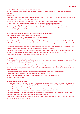*There is the sea. And, especially, those who gaze upon it.*

*And then, there are hotels, holiday residences and buildings, often dilapidated, which announce the promise. miramar*

*Bay windows.*

*The horizon, fixed in space, and the incessant flow which coexists, and in the gap, lost glances and untangled bodies. Vague or historical beings, lost in mistaken memories.*

*Say «far off» or, «on the other side», with the weight of the fixed point, measuring space ahead.*

*To be the body of another with others, interwoven organic fragments, a spatial ectoplasm.*

*Retracing steps, stepping through the intervals between bodies and feeding the void of upheaval.*

*Then, taking shape, dancing the bond with that which is invisible, in a constantly recomposed saudade.*

**—** *Christian Rizzo, February 2020*

#### *Horizon, perspectives and flows: call in motion, movement through the call*

*It all begins with a call, of sorts, to something, far away.*

*I like the idea of «over there», «on the other side»; an indefinable absence.*

*Maybe just projection? Maybe oneself, or someone else?*

*A sort of tearing, a hole, an absence, inducing the need to call through movement. Between the body emitting the call and the perspective point, there is flow. These three elements are the starting point from which I begin to build a compositional sketch.*

*The horizon, its observation point, and flow: how is the constant shift from one to the other woven? And, how is the elasticity between abstraction and fictional mode embraced into the movement?*

*I also have saudade in mind; that complex feeling where nostalgia, melancholy and hope intertwine. A state that summons up what has left us, while awaiting its return, without being really sure that this is possible. Power found in the uncertainty of the existence of an off-camera mode.*

## *1 + 10 dancers*

*To date, the performance is built around two inseparable parts: a solo piece, followed by a polyphonic section, whose composition is a combinatorial of singular calls.*

*Parallel stories: alone and in a group, crossed, fragmented stories.*

*The inaugural solo piece provides a frame, inscribing space; the dancer stays on stage, facing away from the audience, observing the group that is being formed. Those watched are also those who make up the flow between dancer and horizon.*

*The dancer is the witness who summons the calls through different stories, and / or geographies.*

*The watching body is crucial. It is through this gaze that the group exists.*

*All calls are projected very intimately towards a vanishing point, which is the same for all. Is the call ultimately common?*

### *Characters in search of horizons*

*For the first time in my work, I am tempted to call on atypical characters along with hybrid figures in order, maybe, to mark the idea that this community facing the horizon, does not really exist, in fact. That it has been fortuitously formed, driven by the intimate, deep absence of another person.*

*The only thing they have in common is their presence here, calling up something very personal.*

*Let us consider the ten interwoven calls, evoking, inter alia, the space of memory.*

*I always keep alive this obsession for characters in search of an author, claiming their context in order to better understand what they are made of and what future they can hope for.*

*The question of contextualization / de-contextualization is exactly what interests me: all that is missing, an active void, or tension with that which is absent.*